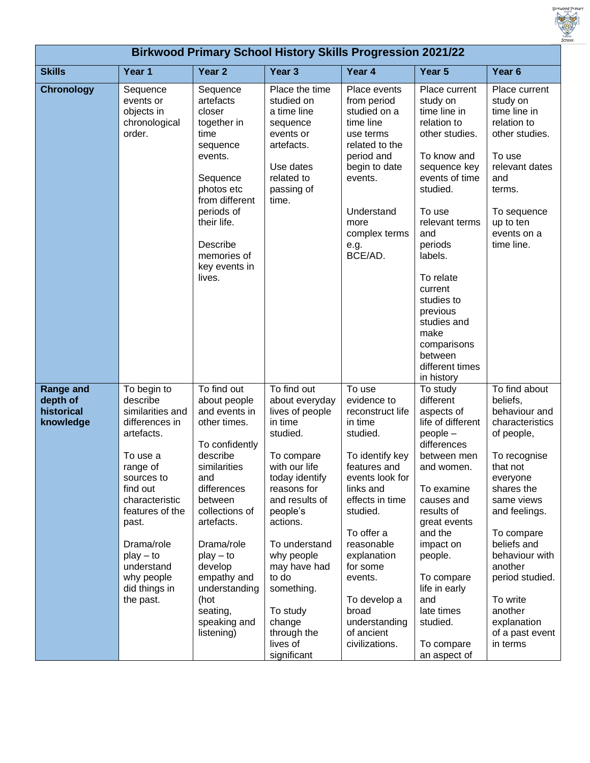

| <b>Birkwood Primary School History Skills Progression 2021/22</b> |                                                                                                                                                                                                                                                                    |                                                                                                                                                                                                                                                                                                       |                                                                                                                                                                                                                                                                                                                         |                                                                                                                                                                                                                                                                                                                |                                                                                                                                                                                                                                                                                                                                      |                                                                                                                                                                                                                                                                                                                    |
|-------------------------------------------------------------------|--------------------------------------------------------------------------------------------------------------------------------------------------------------------------------------------------------------------------------------------------------------------|-------------------------------------------------------------------------------------------------------------------------------------------------------------------------------------------------------------------------------------------------------------------------------------------------------|-------------------------------------------------------------------------------------------------------------------------------------------------------------------------------------------------------------------------------------------------------------------------------------------------------------------------|----------------------------------------------------------------------------------------------------------------------------------------------------------------------------------------------------------------------------------------------------------------------------------------------------------------|--------------------------------------------------------------------------------------------------------------------------------------------------------------------------------------------------------------------------------------------------------------------------------------------------------------------------------------|--------------------------------------------------------------------------------------------------------------------------------------------------------------------------------------------------------------------------------------------------------------------------------------------------------------------|
| <b>Skills</b>                                                     | Year 1                                                                                                                                                                                                                                                             | Year <sub>2</sub>                                                                                                                                                                                                                                                                                     | Year <sub>3</sub>                                                                                                                                                                                                                                                                                                       | Year 4                                                                                                                                                                                                                                                                                                         | Year 5                                                                                                                                                                                                                                                                                                                               | Year <sub>6</sub>                                                                                                                                                                                                                                                                                                  |
| <b>Chronology</b>                                                 | Sequence<br>events or<br>objects in<br>chronological<br>order.                                                                                                                                                                                                     | Sequence<br>artefacts<br>closer<br>together in<br>time<br>sequence<br>events.<br>Sequence<br>photos etc<br>from different<br>periods of<br>their life.<br>Describe<br>memories of<br>key events in<br>lives.                                                                                          | Place the time<br>studied on<br>a time line<br>sequence<br>events or<br>artefacts.<br>Use dates<br>related to<br>passing of<br>time.                                                                                                                                                                                    | Place events<br>from period<br>studied on a<br>time line<br>use terms<br>related to the<br>period and<br>begin to date<br>events.<br>Understand<br>more<br>complex terms<br>e.g.<br>BCE/AD.                                                                                                                    | Place current<br>study on<br>time line in<br>relation to<br>other studies.<br>To know and<br>sequence key<br>events of time<br>studied.<br>To use<br>relevant terms<br>and<br>periods<br>labels.<br>To relate<br>current<br>studies to<br>previous<br>studies and<br>make<br>comparisons<br>between<br>different times<br>in history | Place current<br>study on<br>time line in<br>relation to<br>other studies.<br>To use<br>relevant dates<br>and<br>terms.<br>To sequence<br>up to ten<br>events on a<br>time line.                                                                                                                                   |
| <b>Range and</b><br>depth of<br>historical<br>knowledge           | To begin to<br>describe<br>similarities and<br>differences in<br>artefacts.<br>To use a<br>range of<br>sources to<br>find out<br>characteristic<br>features of the<br>past.<br>Drama/role<br>$play - to$<br>understand<br>why people<br>did things in<br>the past. | To find out<br>about people<br>and events in<br>other times.<br>To confidently<br>describe<br>similarities<br>and<br>differences<br>between<br>collections of<br>artefacts.<br>Drama/role<br>$play - to$<br>develop<br>empathy and<br>understanding<br>(hot<br>seating,<br>speaking and<br>listening) | To find out<br>about everyday<br>lives of people<br>in time<br>studied.<br>To compare<br>with our life<br>today identify<br>reasons for<br>and results of<br>people's<br>actions.<br>To understand<br>why people<br>may have had<br>to do<br>something.<br>To study<br>change<br>through the<br>lives of<br>significant | To use<br>evidence to<br>reconstruct life<br>in time<br>studied.<br>To identify key<br>features and<br>events look for<br>links and<br>effects in time<br>studied.<br>To offer a<br>reasonable<br>explanation<br>for some<br>events.<br>To develop a<br>broad<br>understanding<br>of ancient<br>civilizations. | To study<br>different<br>aspects of<br>life of different<br>people -<br>differences<br>between men<br>and women.<br>To examine<br>causes and<br>results of<br>great events<br>and the<br>impact on<br>people.<br>To compare<br>life in early<br>and<br>late times<br>studied.<br>To compare<br>an aspect of                          | To find about<br>beliefs,<br>behaviour and<br>characteristics<br>of people,<br>To recognise<br>that not<br>everyone<br>shares the<br>same views<br>and feelings.<br>To compare<br>beliefs and<br>behaviour with<br>another<br>period studied.<br>To write<br>another<br>explanation<br>of a past event<br>in terms |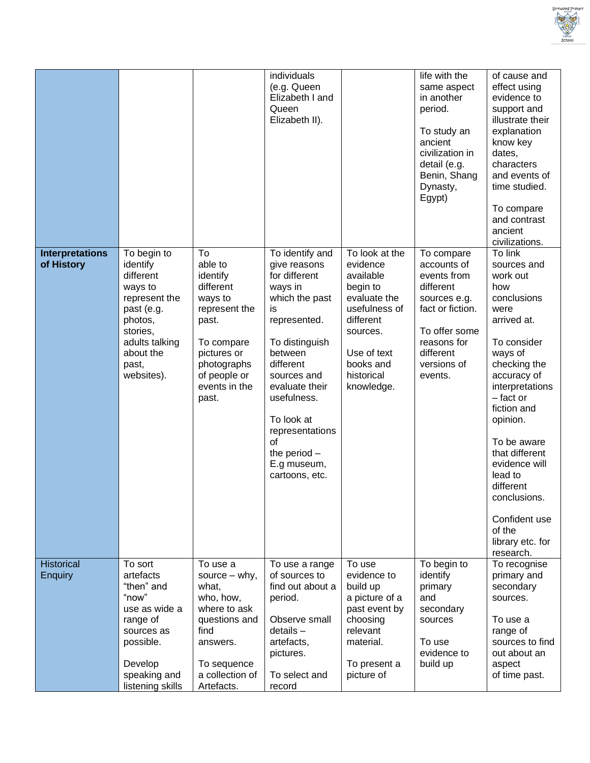

|                                      |                                                                                                                                                             |                                                                                                                                                                   | individuals<br>(e.g. Queen<br>Elizabeth I and<br>Queen<br>Elizabeth II).                                                                                                                                                                                                                |                                                                                                                                                                       | life with the<br>same aspect<br>in another<br>period.<br>To study an<br>ancient<br>civilization in<br>detail (e.g.<br>Benin, Shang<br>Dynasty,<br>Egypt)         | of cause and<br>effect using<br>evidence to<br>support and<br>illustrate their<br>explanation<br>know key<br>dates,<br>characters<br>and events of<br>time studied.<br>To compare<br>and contrast<br>ancient<br>civilizations.                                                                                                                              |
|--------------------------------------|-------------------------------------------------------------------------------------------------------------------------------------------------------------|-------------------------------------------------------------------------------------------------------------------------------------------------------------------|-----------------------------------------------------------------------------------------------------------------------------------------------------------------------------------------------------------------------------------------------------------------------------------------|-----------------------------------------------------------------------------------------------------------------------------------------------------------------------|------------------------------------------------------------------------------------------------------------------------------------------------------------------|-------------------------------------------------------------------------------------------------------------------------------------------------------------------------------------------------------------------------------------------------------------------------------------------------------------------------------------------------------------|
| <b>Interpretations</b><br>of History | To begin to<br>identify<br>different<br>ways to<br>represent the<br>past (e.g.<br>photos,<br>stories,<br>adults talking<br>about the<br>past,<br>websites). | To<br>able to<br>identify<br>different<br>ways to<br>represent the<br>past.<br>To compare<br>pictures or<br>photographs<br>of people or<br>events in the<br>past. | To identify and<br>give reasons<br>for different<br>ways in<br>which the past<br>is<br>represented.<br>To distinguish<br>between<br>different<br>sources and<br>evaluate their<br>usefulness.<br>To look at<br>representations<br>οf<br>the period $-$<br>E.g museum,<br>cartoons, etc. | To look at the<br>evidence<br>available<br>begin to<br>evaluate the<br>usefulness of<br>different<br>sources.<br>Use of text<br>books and<br>historical<br>knowledge. | To compare<br>accounts of<br>events from<br>different<br>sources e.g.<br>fact or fiction.<br>To offer some<br>reasons for<br>different<br>versions of<br>events. | To link<br>sources and<br>work out<br>how<br>conclusions<br>were<br>arrived at.<br>To consider<br>ways of<br>checking the<br>accuracy of<br>interpretations<br>$-$ fact or<br>fiction and<br>opinion.<br>To be aware<br>that different<br>evidence will<br>lead to<br>different<br>conclusions.<br>Confident use<br>of the<br>library etc. for<br>research. |
| Historical<br><b>Enquiry</b>         | To sort<br>artefacts<br>"then" and<br>"now"<br>use as wide a<br>range of<br>sources as<br>possible.<br>Develop<br>speaking and<br>listening skills          | To use a<br>source $-$ why,<br>what,<br>who, how,<br>where to ask<br>questions and<br>find<br>answers.<br>To sequence<br>a collection of<br>Artefacts.            | To use a range<br>of sources to<br>find out about a<br>period.<br>Observe small<br>$details -$<br>artefacts,<br>pictures.<br>To select and<br>record                                                                                                                                    | To use<br>evidence to<br>build up<br>a picture of a<br>past event by<br>choosing<br>relevant<br>material.<br>To present a<br>picture of                               | To begin to<br>identify<br>primary<br>and<br>secondary<br>sources<br>To use<br>evidence to<br>build up                                                           | To recognise<br>primary and<br>secondary<br>sources.<br>To use a<br>range of<br>sources to find<br>out about an<br>aspect<br>of time past.                                                                                                                                                                                                                  |